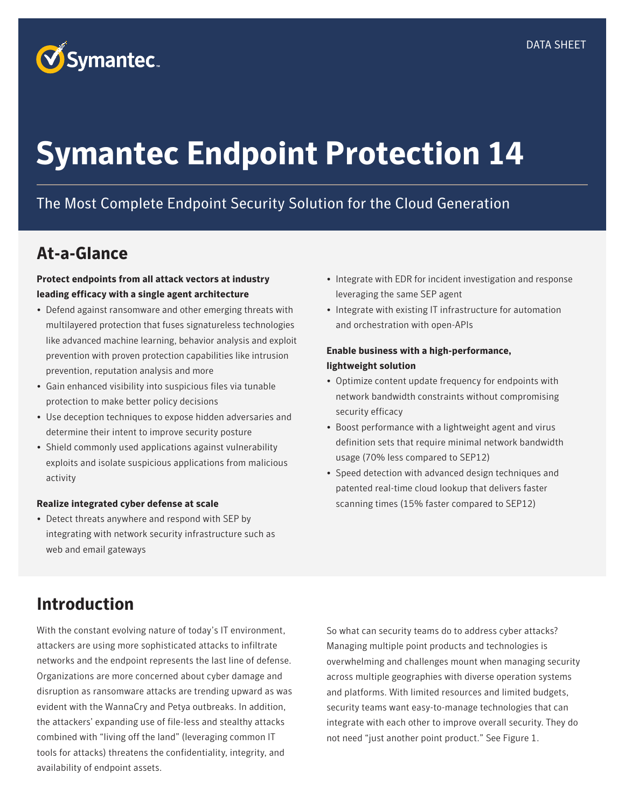

# **Symantec Endpoint Protection 14**

# The Most Complete Endpoint Security Solution for the Cloud Generation

# **At-a-Glance**

## **Protect endpoints from all attack vectors at industry leading efficacy with a single agent architecture**

- Defend against ransomware and other emerging threats with multilayered protection that fuses signatureless technologies like advanced machine learning, behavior analysis and exploit prevention with proven protection capabilities like intrusion prevention, reputation analysis and more
- Gain enhanced visibility into suspicious files via tunable protection to make better policy decisions
- Use deception techniques to expose hidden adversaries and determine their intent to improve security posture
- Shield commonly used applications against vulnerability exploits and isolate suspicious applications from malicious activity

#### **Realize integrated cyber defense at scale**

• Detect threats anywhere and respond with SEP by integrating with network security infrastructure such as web and email gateways

- Integrate with EDR for incident investigation and response leveraging the same SEP agent
- Integrate with existing IT infrastructure for automation and orchestration with open-APIs

### **Enable business with a high-performance, lightweight solution**

- Optimize content update frequency for endpoints with network bandwidth constraints without compromising security efficacy
- Boost performance with a lightweight agent and virus definition sets that require minimal network bandwidth usage (70% less compared to SEP12)
- Speed detection with advanced design techniques and patented real-time cloud lookup that delivers faster scanning times (15% faster compared to SEP12)

# **Introduction**

With the constant evolving nature of today's IT environment, attackers are using more sophisticated attacks to infiltrate networks and the endpoint represents the last line of defense. Organizations are more concerned about cyber damage and disruption as ransomware attacks are trending upward as was evident with the WannaCry and Petya outbreaks. In addition, the attackers' expanding use of file-less and stealthy attacks combined with "living off the land" (leveraging common IT tools for attacks) threatens the confidentiality, integrity, and availability of endpoint assets.

So what can security teams do to address cyber attacks? Managing multiple point products and technologies is overwhelming and challenges mount when managing security across multiple geographies with diverse operation systems and platforms. With limited resources and limited budgets, security teams want easy-to-manage technologies that can integrate with each other to improve overall security. They do not need "just another point product." See Figure 1.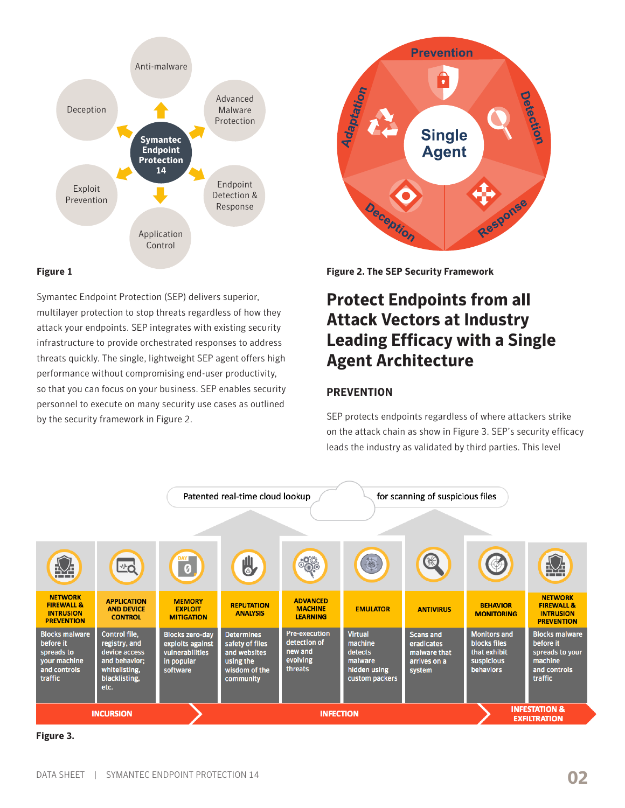

### **Figure 1**

Symantec Endpoint Protection (SEP) delivers superior, multilayer protection to stop threats regardless of how they attack your endpoints. SEP integrates with existing security infrastructure to provide orchestrated responses to address threats quickly. The single, lightweight SEP agent offers high performance without compromising end-user productivity, so that you can focus on your business. SEP enables security personnel to execute on many security use cases as outlined by the security framework in Figure 2.



**Figure 2. The SEP Security Framework**

# **Protect Endpoints from all Attack Vectors at Industry Leading Efficacy with a Single Agent Architecture**

# **PREVENTION**

SEP protects endpoints regardless of where attackers strike on the attack chain as show in Figure 3. SEP's security efficacy leads the industry as validated by third parties. This level



#### **Figure 3.**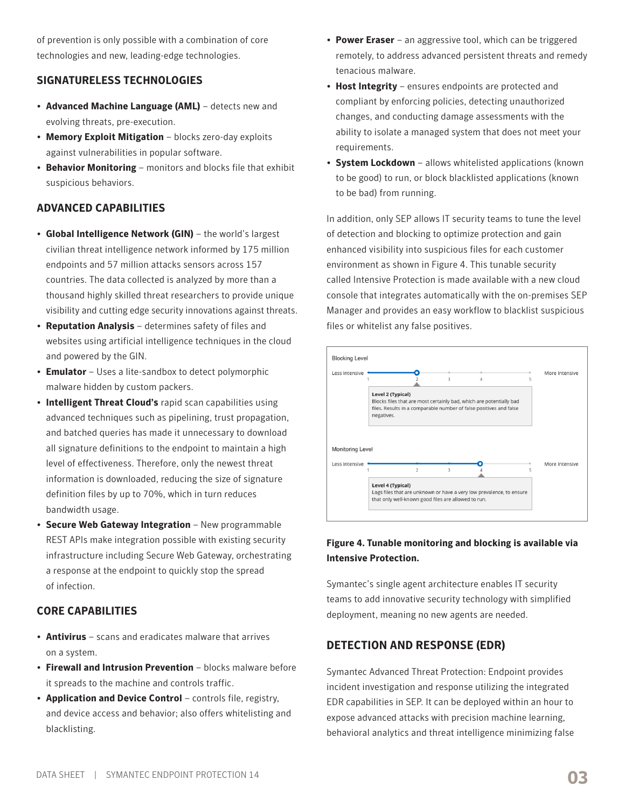of prevention is only possible with a combination of core technologies and new, leading-edge technologies.

# **SIGNATURELESS TECHNOLOGIES**

- **Advanced Machine Language (AML)** detects new and evolving threats, pre-execution.
- **Memory Exploit Mitigation** blocks zero-day exploits against vulnerabilities in popular software.
- **Behavior Monitoring** monitors and blocks file that exhibit suspicious behaviors.

# **ADVANCED CAPABILITIES**

- **Global Intelligence Network (GIN)** the world's largest civilian threat intelligence network informed by 175 million endpoints and 57 million attacks sensors across 157 countries. The data collected is analyzed by more than a thousand highly skilled threat researchers to provide unique visibility and cutting edge security innovations against threats.
- **Reputation Analysis** determines safety of files and websites using artificial intelligence techniques in the cloud and powered by the GIN.
- **Emulator** Uses a lite-sandbox to detect polymorphic malware hidden by custom packers.
- **Intelligent Threat Cloud's** rapid scan capabilities using advanced techniques such as pipelining, trust propagation, and batched queries has made it unnecessary to download all signature definitions to the endpoint to maintain a high level of effectiveness. Therefore, only the newest threat information is downloaded, reducing the size of signature definition files by up to 70%, which in turn reduces bandwidth usage.
- **Secure Web Gateway Integration** New programmable REST APIs make integration possible with existing security infrastructure including Secure Web Gateway, orchestrating a response at the endpoint to quickly stop the spread of infection.

# **CORE CAPABILITIES**

- **Antivirus** scans and eradicates malware that arrives on a system.
- **Firewall and Intrusion Prevention** blocks malware before it spreads to the machine and controls traffic.
- **Application and Device Control** controls file, registry, and device access and behavior; also offers whitelisting and blacklisting.
- **Power Eraser** an aggressive tool, which can be triggered remotely, to address advanced persistent threats and remedy tenacious malware.
- **Host Integrity** ensures endpoints are protected and compliant by enforcing policies, detecting unauthorized changes, and conducting damage assessments with the ability to isolate a managed system that does not meet your requirements.
- **System Lockdown** allows whitelisted applications (known to be good) to run, or block blacklisted applications (known to be bad) from running.

In addition, only SEP allows IT security teams to tune the level of detection and blocking to optimize protection and gain enhanced visibility into suspicious files for each customer environment as shown in Figure 4. This tunable security called Intensive Protection is made available with a new cloud console that integrates automatically with the on-premises SEP Manager and provides an easy workflow to blacklist suspicious files or whitelist any false positives.



# **Figure 4. Tunable monitoring and blocking is available via Intensive Protection.**

Symantec's single agent architecture enables IT security teams to add innovative security technology with simplified deployment, meaning no new agents are needed.

# **DETECTION AND RESPONSE (EDR)**

Symantec Advanced Threat Protection: Endpoint provides incident investigation and response utilizing the integrated EDR capabilities in SEP. It can be deployed within an hour to expose advanced attacks with precision machine learning, behavioral analytics and threat intelligence minimizing false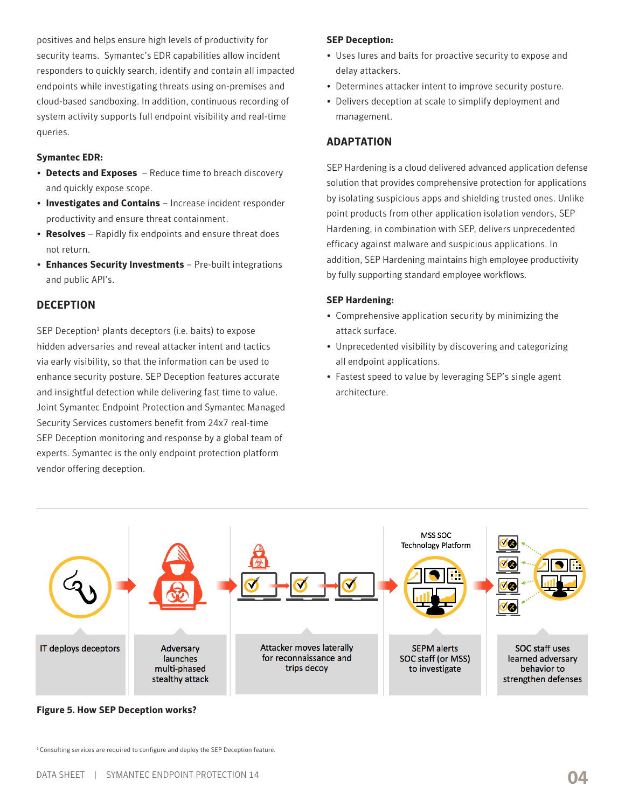positives and helps ensure high levels of productivity for security teams. Symantec's EDR capabilities allow incident responders to quickly search, identify and contain all impacted endpoints while investigating threats using on-premises and cloud-based sandboxing. In addition, continuous recording of system activity supports full endpoint visibility and real-time queries.

#### **Symantec EDR:**

- **Detects and Exposes** Reduce time to breach discovery and quickly expose scope.
- **Investigates and Contains** Increase incident responder productivity and ensure threat containment.
- **Resolves** Rapidly fix endpoints and ensure threat does not return.
- **Enhances Security Investments** Pre-built integrations and public API's.

### **DECEPTION**

SEP Deception<sup>1</sup> plants deceptors (i.e. baits) to expose hidden adversaries and reveal attacker intent and tactics via early visibility, so that the information can be used to enhance security posture. SEP Deception features accurate and insightful detection while delivering fast time to value. Joint Symantec Endpoint Protection and Symantec Managed Security Services customers benefit from 24x7 real-time SEP Deception monitoring and response by a global team of experts. Symantec is the only endpoint protection platform vendor offering deception.

### **SEP Deception:**

- Uses lures and baits for proactive security to expose and delay attackers.
- Determines attacker intent to improve security posture.
- Delivers deception at scale to simplify deployment and management.

### **ADAPTATION**

SEP Hardening is a cloud delivered advanced application defense solution that provides comprehensive protection for applications by isolating suspicious apps and shielding trusted ones. Unlike point products from other application isolation vendors, SEP Hardening, in combination with SEP, delivers unprecedented efficacy against malware and suspicious applications. In addition, SEP Hardening maintains high employee productivity by fully supporting standard employee workflows.

### **SEP Hardening:**

- Comprehensive application security by minimizing the attack surface.
- Unprecedented visibility by discovering and categorizing all endpoint applications.
- Fastest speed to value by leveraging SEP's single agent architecture.

![](_page_3_Figure_18.jpeg)

**Figure 5. How SEP Deception works?**

<sup>1</sup> Consulting services are required to configure and deploy the SEP Deception feature.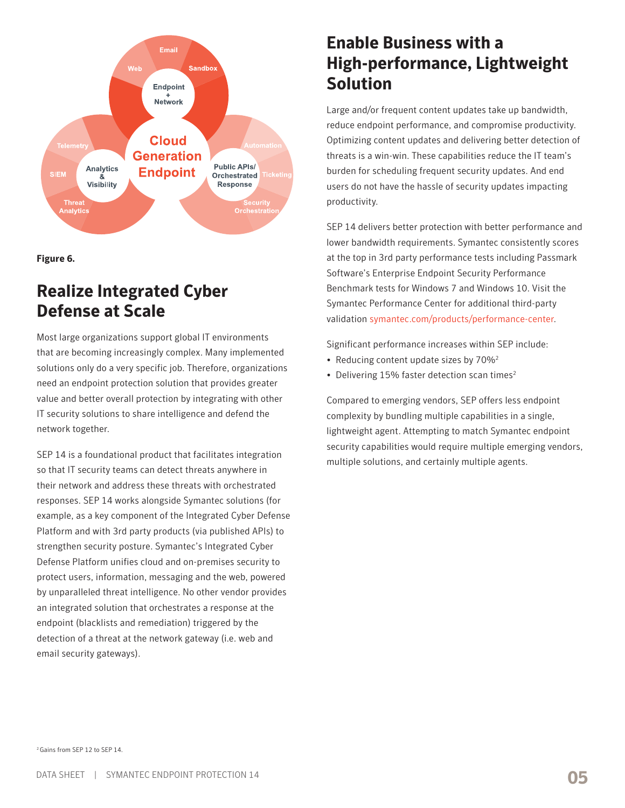![](_page_4_Figure_0.jpeg)

**Figure 6.**

# **Realize Integrated Cyber Defense at Scale**

Most large organizations support global IT environments that are becoming increasingly complex. Many implemented solutions only do a very specific job. Therefore, organizations need an endpoint protection solution that provides greater value and better overall protection by integrating with other IT security solutions to share intelligence and defend the network together.

SEP 14 is a foundational product that facilitates integration so that IT security teams can detect threats anywhere in their network and address these threats with orchestrated responses. SEP 14 works alongside Symantec solutions (for example, as a key component of the Integrated Cyber Defense Platform and with 3rd party products (via published APIs) to strengthen security posture. Symantec's Integrated Cyber Defense Platform unifies cloud and on-premises security to protect users, information, messaging and the web, powered by unparalleled threat intelligence. No other vendor provides an integrated solution that orchestrates a response at the endpoint (blacklists and remediation) triggered by the detection of a threat at the network gateway (i.e. web and email security gateways).

# **Enable Business with a High-performance, Lightweight Solution**

Large and/or frequent content updates take up bandwidth, reduce endpoint performance, and compromise productivity. Optimizing content updates and delivering better detection of threats is a win-win. These capabilities reduce the IT team's burden for scheduling frequent security updates. And end users do not have the hassle of security updates impacting productivity.

SEP 14 delivers better protection with better performance and lower bandwidth requirements. Symantec consistently scores at the top in 3rd party performance tests including Passmark Software's Enterprise Endpoint Security Performance Benchmark tests for Windows 7 and Windows 10. Visit the Symantec Performance Center for additional third-party validation [symantec.com/products/performance-center.](http://symantec.com/products/performance-center)

Significant performance increases within SEP include:

- Reducing content update sizes by 70%<sup>2</sup>
- Delivering 15% faster detection scan times<sup>2</sup>

Compared to emerging vendors, SEP offers less endpoint complexity by bundling multiple capabilities in a single, lightweight agent. Attempting to match Symantec endpoint security capabilities would require multiple emerging vendors, multiple solutions, and certainly multiple agents.

2 Gains from SEP 12 to SEP 14.